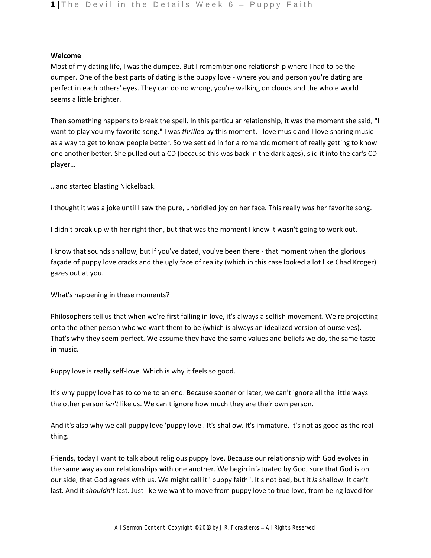## **Welcome**

Most of my dating life, I was the dumpee. But I remember one relationship where I had to be the dumper. One of the best parts of dating is the puppy love - where you and person you're dating are perfect in each others' eyes. They can do no wrong, you're walking on clouds and the whole world seems a little brighter.

Then something happens to break the spell. In this particular relationship, it was the moment she said, "I want to play you my favorite song." I was *thrilled* by this moment. I love music and I love sharing music as a way to get to know people better. So we settled in for a romantic moment of really getting to know one another better. She pulled out a CD (because this was back in the dark ages), slid it into the car's CD player…

…and started blasting Nickelback.

I thought it was a joke until I saw the pure, unbridled joy on her face. This really *was* her favorite song.

I didn't break up with her right then, but that was the moment I knew it wasn't going to work out.

I know that sounds shallow, but if you've dated, you've been there - that moment when the glorious façade of puppy love cracks and the ugly face of reality (which in this case looked a lot like Chad Kroger) gazes out at you.

What's happening in these moments?

Philosophers tell us that when we're first falling in love, it's always a selfish movement. We're projecting onto the other person who we want them to be (which is always an idealized version of ourselves). That's why they seem perfect. We assume they have the same values and beliefs we do, the same taste in music.

Puppy love is really self-love. Which is why it feels so good.

It's why puppy love has to come to an end. Because sooner or later, we can't ignore all the little ways the other person *isn't* like us. We can't ignore how much they are their own person.

And it's also why we call puppy love 'puppy love'. It's shallow. It's immature. It's not as good as the real thing.

Friends, today I want to talk about religious puppy love. Because our relationship with God evolves in the same way as our relationships with one another. We begin infatuated by God, sure that God is on our side, that God agrees with us. We might call it "puppy faith". It's not bad, but it *is* shallow. It can't last. And it *shouldn't* last. Just like we want to move from puppy love to true love, from being loved for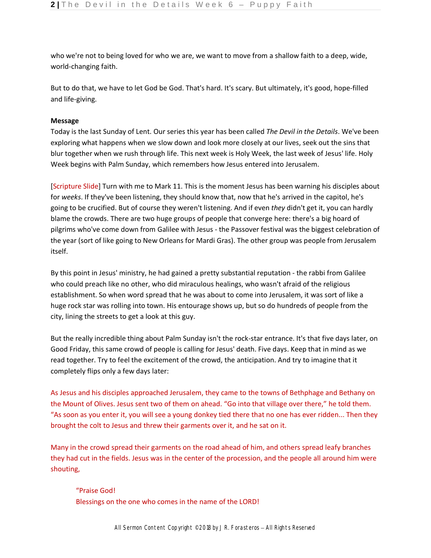who we're not to being loved for who we are, we want to move from a shallow faith to a deep, wide, world-changing faith.

But to do that, we have to let God be God. That's hard. It's scary. But ultimately, it's good, hope-filled and life-giving.

## **Message**

Today is the last Sunday of Lent. Our series this year has been called *The Devil in the Details*. We've been exploring what happens when we slow down and look more closely at our lives, seek out the sins that blur together when we rush through life. This next week is Holy Week, the last week of Jesus' life. Holy Week begins with Palm Sunday, which remembers how Jesus entered into Jerusalem.

[Scripture Slide] Turn with me to Mark 11. This is the moment Jesus has been warning his disciples about for *weeks*. If they've been listening, they should know that, now that he's arrived in the capitol, he's going to be crucified. But of course they weren't listening. And if even *they* didn't get it, you can hardly blame the crowds. There are two huge groups of people that converge here: there's a big hoard of pilgrims who've come down from Galilee with Jesus - the Passover festival was the biggest celebration of the year (sort of like going to New Orleans for Mardi Gras). The other group was people from Jerusalem itself.

By this point in Jesus' ministry, he had gained a pretty substantial reputation - the rabbi from Galilee who could preach like no other, who did miraculous healings, who wasn't afraid of the religious establishment. So when word spread that he was about to come into Jerusalem, it was sort of like a huge rock star was rolling into town. His entourage shows up, but so do hundreds of people from the city, lining the streets to get a look at this guy.

But the really incredible thing about Palm Sunday isn't the rock-star entrance. It's that five days later, on Good Friday, this same crowd of people is calling for Jesus' death. Five days. Keep that in mind as we read together. Try to feel the excitement of the crowd, the anticipation. And try to imagine that it completely flips only a few days later:

As Jesus and his disciples approached Jerusalem, they came to the towns of Bethphage and Bethany on the Mount of Olives. Jesus sent two of them on ahead. "Go into that village over there," he told them. "As soon as you enter it, you will see a young donkey tied there that no one has ever ridden... Then they brought the colt to Jesus and threw their garments over it, and he sat on it.

Many in the crowd spread their garments on the road ahead of him, and others spread leafy branches they had cut in the fields. Jesus was in the center of the procession, and the people all around him were shouting,

"Praise God! Blessings on the one who comes in the name of the LORD!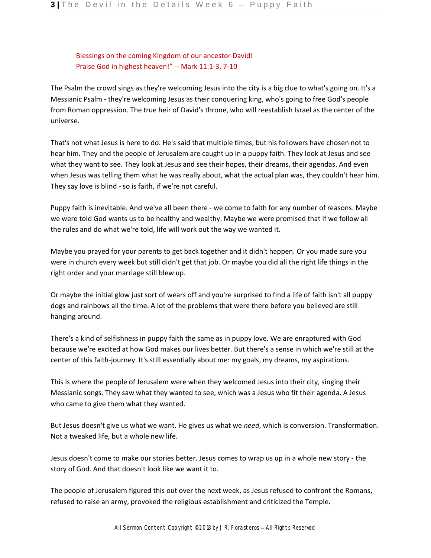Blessings on the coming Kingdom of our ancestor David! Praise God in highest heaven!" -- Mark 11:1-3, 7-10

The Psalm the crowd sings as they're welcoming Jesus into the city is a big clue to what's going on. It's a Messianic Psalm - they're welcoming Jesus as their conquering king, who's going to free God's people from Roman oppression. The true heir of David's throne, who will reestablish Israel as the center of the universe.

That's not what Jesus is here to do. He's said that multiple times, but his followers have chosen not to hear him. They and the people of Jerusalem are caught up in a puppy faith. They look at Jesus and see what they want to see. They look at Jesus and see their hopes, their dreams, their agendas. And even when Jesus was telling them what he was really about, what the actual plan was, they couldn't hear him. They say love is blind - so is faith, if we're not careful.

Puppy faith is inevitable. And we've all been there - we come to faith for any number of reasons. Maybe we were told God wants us to be healthy and wealthy. Maybe we were promised that if we follow all the rules and do what we're told, life will work out the way we wanted it.

Maybe you prayed for your parents to get back together and it didn't happen. Or you made sure you were in church every week but still didn't get that job. Or maybe you did all the right life things in the right order and your marriage still blew up.

Or maybe the initial glow just sort of wears off and you're surprised to find a life of faith isn't all puppy dogs and rainbows all the time. A lot of the problems that were there before you believed are still hanging around.

There's a kind of selfishness in puppy faith the same as in puppy love. We are enraptured with God because we're excited at how God makes our lives better. But there's a sense in which we're still at the center of this faith-journey. It's still essentially about me: my goals, my dreams, my aspirations.

This is where the people of Jerusalem were when they welcomed Jesus into their city, singing their Messianic songs. They saw what they wanted to see, which was a Jesus who fit their agenda. A Jesus who came to give them what they wanted.

But Jesus doesn't give us what we want. He gives us what we *need*, which is conversion. Transformation. Not a tweaked life, but a whole new life.

Jesus doesn't come to make our stories better. Jesus comes to wrap us up in a whole new story - the story of God. And that doesn't look like we want it to.

The people of Jerusalem figured this out over the next week, as Jesus refused to confront the Romans, refused to raise an army, provoked the religious establishment and criticized the Temple.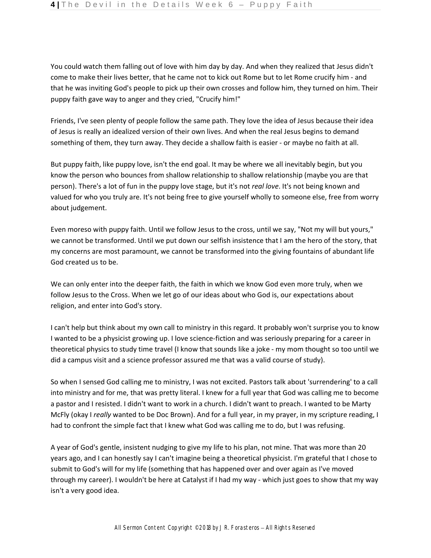You could watch them falling out of love with him day by day. And when they realized that Jesus didn't come to make their lives better, that he came not to kick out Rome but to let Rome crucify him - and that he was inviting God's people to pick up their own crosses and follow him, they turned on him. Their puppy faith gave way to anger and they cried, "Crucify him!"

Friends, I've seen plenty of people follow the same path. They love the idea of Jesus because their idea of Jesus is really an idealized version of their own lives. And when the real Jesus begins to demand something of them, they turn away. They decide a shallow faith is easier - or maybe no faith at all.

But puppy faith, like puppy love, isn't the end goal. It may be where we all inevitably begin, but you know the person who bounces from shallow relationship to shallow relationship (maybe you are that person). There's a lot of fun in the puppy love stage, but it's not *real love*. It's not being known and valued for who you truly are. It's not being free to give yourself wholly to someone else, free from worry about judgement.

Even moreso with puppy faith. Until we follow Jesus to the cross, until we say, "Not my will but yours," we cannot be transformed. Until we put down our selfish insistence that I am the hero of the story, that my concerns are most paramount, we cannot be transformed into the giving fountains of abundant life God created us to be.

We can only enter into the deeper faith, the faith in which we know God even more truly, when we follow Jesus to the Cross. When we let go of our ideas about who God is, our expectations about religion, and enter into God's story.

I can't help but think about my own call to ministry in this regard. It probably won't surprise you to know I wanted to be a physicist growing up. I love science-fiction and was seriously preparing for a career in theoretical physics to study time travel (I know that sounds like a joke - my mom thought so too until we did a campus visit and a science professor assured me that was a valid course of study).

So when I sensed God calling me to ministry, I was not excited. Pastors talk about 'surrendering' to a call into ministry and for me, that was pretty literal. I knew for a full year that God was calling me to become a pastor and I resisted. I didn't want to work in a church. I didn't want to preach. I wanted to be Marty McFly (okay I *really* wanted to be Doc Brown). And for a full year, in my prayer, in my scripture reading, I had to confront the simple fact that I knew what God was calling me to do, but I was refusing.

A year of God's gentle, insistent nudging to give my life to his plan, not mine. That was more than 20 years ago, and I can honestly say I can't imagine being a theoretical physicist. I'm grateful that I chose to submit to God's will for my life (something that has happened over and over again as I've moved through my career). I wouldn't be here at Catalyst if I had my way - which just goes to show that my way isn't a very good idea.